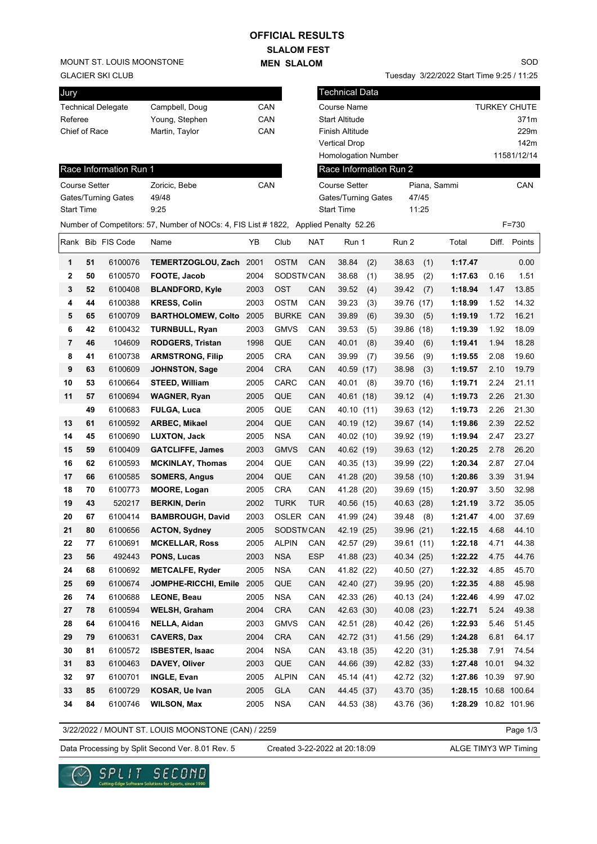## **SLALOM FEST OFFICIAL RESULTS**

**MEN SLALOM** 

MOUNT ST. LOUIS MOONSTONE

GLACIER SKI CLUB

| Jury                 |    |                           |                                                                                     |      |              |            | <b>Technical Data</b> |     |                        |       |                      |      |                     |
|----------------------|----|---------------------------|-------------------------------------------------------------------------------------|------|--------------|------------|-----------------------|-----|------------------------|-------|----------------------|------|---------------------|
|                      |    | <b>Technical Delegate</b> | Campbell, Doug                                                                      | CAN  |              |            | Course Name           |     |                        |       |                      |      | <b>TURKEY CHUTE</b> |
| Referee              |    |                           | Young, Stephen                                                                      | CAN  |              |            | <b>Start Altitude</b> |     |                        |       |                      |      | 371m                |
| Chief of Race        |    |                           | Martin, Taylor                                                                      | CAN  |              |            | Finish Altitude       |     |                        |       |                      |      | 229m                |
|                      |    |                           |                                                                                     |      |              |            | <b>Vertical Drop</b>  |     |                        |       |                      |      | 142m                |
|                      |    |                           |                                                                                     |      |              |            | Homologation Number   |     |                        |       |                      |      | 11581/12/14         |
|                      |    | Race Information Run 1    |                                                                                     |      |              |            |                       |     | Race Information Run 2 |       |                      |      |                     |
| <b>Course Setter</b> |    |                           | Zoricic, Bebe                                                                       | CAN  |              |            | <b>Course Setter</b>  |     |                        |       | Piana, Sammi         |      | CAN                 |
|                      |    | Gates/Turning Gates       | 49/48                                                                               |      |              |            | Gates/Turning Gates   |     |                        | 47/45 |                      |      |                     |
| <b>Start Time</b>    |    |                           | 9:25                                                                                |      |              |            | <b>Start Time</b>     |     |                        | 11:25 |                      |      |                     |
|                      |    |                           | Number of Competitors: 57, Number of NOCs: 4, FIS List #1822, Applied Penalty 52.26 |      |              |            |                       |     |                        |       |                      |      | $F = 730$           |
|                      |    | Rank Bib FIS Code         | Name                                                                                | YB   | Club         | <b>NAT</b> | Run 1                 |     | Run 2                  |       | Total                |      | Diff. Points        |
| 1                    | 51 | 6100076                   | TEMERTZOGLOU, Zach 2001                                                             |      | <b>OSTM</b>  | CAN        | 38.84                 | (2) | 38.63                  | (1)   | 1:17.47              |      | 0.00                |
| 2                    | 50 | 6100570                   | FOOTE, Jacob                                                                        | 2004 | SODSTMCAN    |            | 38.68                 | (1) | 38.95                  | (2)   | 1:17.63              | 0.16 | 1.51                |
| 3                    | 52 | 6100408                   | <b>BLANDFORD, Kyle</b>                                                              | 2003 | OST          | CAN        | 39.52                 | (4) | 39.42                  | (7)   | 1:18.94              | 1.47 | 13.85               |
| 4                    | 44 | 6100388                   | <b>KRESS, Colin</b>                                                                 | 2003 | <b>OSTM</b>  | CAN        | 39.23                 | (3) | 39.76 (17)             |       | 1:18.99              | 1.52 | 14.32               |
| 5                    | 65 | 6100709                   | <b>BARTHOLOMEW, Colto</b>                                                           | 2005 | <b>BURKE</b> | CAN        | 39.89                 | (6) | 39.30                  | (5)   | 1:19.19              | 1.72 | 16.21               |
| 6                    | 42 | 6100432                   | <b>TURNBULL, Ryan</b>                                                               | 2003 | <b>GMVS</b>  | CAN        | 39.53                 | (5) | 39.86 (18)             |       | 1:19.39              | 1.92 | 18.09               |
| 7                    | 46 | 104609                    | <b>RODGERS, Tristan</b>                                                             | 1998 | QUE          | CAN        | 40.01                 | (8) | 39.40                  | (6)   | 1:19.41              | 1.94 | 18.28               |
| 8                    | 41 | 6100738                   | <b>ARMSTRONG, Filip</b>                                                             | 2005 | <b>CRA</b>   | CAN        | 39.99                 | (7) | 39.56                  | (9)   | 1:19.55              | 2.08 | 19.60               |
| 9                    | 63 | 6100609                   | <b>JOHNSTON, Sage</b>                                                               | 2004 | <b>CRA</b>   | CAN        | 40.59 (17)            |     | 38.98                  | (3)   | 1:19.57              | 2.10 | 19.79               |
| 10                   | 53 | 6100664                   | <b>STEED, William</b>                                                               | 2005 | CARC         | CAN        | 40.01                 | (8) | 39.70 (16)             |       | 1:19.71              | 2.24 | 21.11               |
| 11                   | 57 | 6100694                   | <b>WAGNER, Ryan</b>                                                                 | 2005 | QUE          | CAN        | 40.61 (18)            |     | 39.12                  | (4)   | 1:19.73              | 2.26 | 21.30               |
|                      | 49 | 6100683                   | <b>FULGA, Luca</b>                                                                  | 2005 | QUE          | CAN        | 40.10 (11)            |     | 39.63 (12)             |       | 1:19.73              | 2.26 | 21.30               |
| 13                   | 61 | 6100592                   | ARBEC, Mikael                                                                       | 2004 | QUE          | CAN        | 40.19 (12)            |     | 39.67 (14)             |       | 1:19.86              | 2.39 | 22.52               |
| 14                   | 45 | 6100690                   | <b>LUXTON, Jack</b>                                                                 | 2005 | <b>NSA</b>   | CAN        | 40.02 (10)            |     | 39.92 (19)             |       | 1:19.94              | 2.47 | 23.27               |
| 15                   | 59 | 6100409                   | <b>GATCLIFFE, James</b>                                                             | 2003 | <b>GMVS</b>  | CAN        | 40.62 (19)            |     | 39.63 (12)             |       | 1:20.25              | 2.78 | 26.20               |
| 16                   | 62 | 6100593                   | <b>MCKINLAY, Thomas</b>                                                             | 2004 | QUE          | CAN        | 40.35 (13)            |     | 39.99 (22)             |       | 1:20.34              | 2.87 | 27.04               |
| 17                   | 66 | 6100585                   | <b>SOMERS, Angus</b>                                                                | 2004 | QUE          | CAN        | 41.28 (20)            |     | 39.58 (10)             |       | 1:20.86              | 3.39 | 31.94               |
| 18                   | 70 | 6100773                   | <b>MOORE, Logan</b>                                                                 | 2005 | <b>CRA</b>   | CAN        | 41.28 (20)            |     | 39.69 (15)             |       | 1:20.97              | 3.50 | 32.98               |
| 19                   | 43 | 520217                    | <b>BERKIN, Derin</b>                                                                | 2002 | <b>TURK</b>  | TUR        | 40.56 (15)            |     | 40.63 (28)             |       | 1:21.19              | 3.72 | 35.05               |
| 20                   | 67 | 6100414                   | <b>BAMBROUGH, David</b>                                                             | 2003 | OSLER CAN    |            | 41.99 (24)            |     | 39.48                  | (8)   | 1:21.47              | 4.00 | 37.69               |
| 21                   | 80 | 6100656                   | <b>ACTON, Sydney</b>                                                                | 2005 | SODSTM CAN   |            | 42.19 (25)            |     | 39.96 (21)             |       | 1:22.15              | 4.68 | 44.10               |
| 22                   | 77 | 6100691                   | <b>MCKELLAR, Ross</b>                                                               | 2005 | <b>ALPIN</b> | CAN        | 42.57 (29)            |     | 39.61 (11)             |       | 1:22.18              | 4.71 | 44.38               |
| 23                   | 56 | 492443                    | PONS, Lucas                                                                         | 2003 | <b>NSA</b>   | ESP        | 41.88 (23)            |     | 40.34 (25)             |       | 1:22.22              | 4.75 | 44.76               |
| 24                   | 68 | 6100692                   | <b>METCALFE, Ryder</b>                                                              | 2005 | <b>NSA</b>   | CAN        | 41.82 (22)            |     | 40.50 (27)             |       | 1:22.32              | 4.85 | 45.70               |
| 25                   | 69 | 6100674                   | JOMPHE-RICCHI, Emile                                                                | 2005 | QUE          | CAN        | 42.40 (27)            |     | 39.95 (20)             |       | 1:22.35              | 4.88 | 45.98               |
| 26                   | 74 | 6100688                   | <b>LEONE, Beau</b>                                                                  | 2005 | <b>NSA</b>   | CAN        | 42.33 (26)            |     | 40.13 (24)             |       | 1:22.46              | 4.99 | 47.02               |
| 27                   | 78 | 6100594                   | <b>WELSH, Graham</b>                                                                | 2004 | <b>CRA</b>   | CAN        | 42.63 (30)            |     | 40.08 (23)             |       | 1:22.71              | 5.24 | 49.38               |
| 28                   | 64 | 6100416                   | NELLA, Aidan                                                                        | 2003 | <b>GMVS</b>  | CAN        | 42.51 (28)            |     | 40.42 (26)             |       | 1:22.93              | 5.46 | 51.45               |
| 29                   | 79 | 6100631                   | <b>CAVERS, Dax</b>                                                                  | 2004 | CRA          | CAN        | 42.72 (31)            |     | 41.56 (29)             |       | 1:24.28              | 6.81 | 64.17               |
| 30                   | 81 | 6100572                   | <b>ISBESTER, Isaac</b>                                                              | 2004 | <b>NSA</b>   | CAN        | 43.18 (35)            |     | 42.20 (31)             |       | 1:25.38              | 7.91 | 74.54               |
| 31                   | 83 | 6100463                   | DAVEY, Oliver                                                                       | 2003 | QUE          | CAN        | 44.66 (39)            |     | 42.82 (33)             |       | 1:27.48 10.01        |      | 94.32               |
| 32                   | 97 | 6100701                   | <b>INGLE, Evan</b>                                                                  | 2005 | <b>ALPIN</b> | CAN        | 45.14 (41)            |     | 42.72 (32)             |       | 1:27.86 10.39        |      | 97.90               |
| 33                   | 85 | 6100729                   | KOSAR, Ue Ivan                                                                      | 2005 | GLA          | CAN        | 44.45 (37)            |     | 43.70 (35)             |       | 1:28.15 10.68 100.64 |      |                     |
| 34                   | 84 | 6100746                   | <b>WILSON, Max</b>                                                                  | 2005 | <b>NSA</b>   | CAN        | 44.53 (38)            |     | 43.76 (36)             |       | 1:28.29 10.82 101.96 |      |                     |

3/22/2022 / MOUNT ST. LOUIS MOONSTONE (CAN) / 2259

Page 1/3

Data Processing by Split Second Ver. 8.01 Rev. 5 Created 3-22-2022 at 20:18:09 ALGE TIMY3 WP Timing

Created 3-22-2022 at 20:18:09



SOD

Tuesday 3/22/2022 Start Time 9:25 / 11:25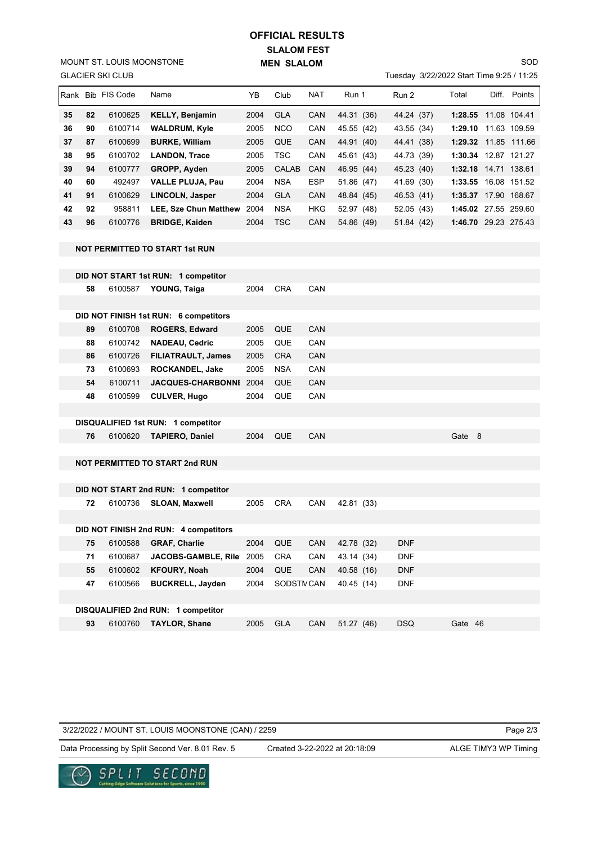## **SLALOM FEST MEN SLALOM OFFICIAL RESULTS**

GLACIER SKI CLUB MOUNT ST. LOUIS MOONSTONE

## Tuesday 3/22/2022 Start Time 9:25 / 11:25

SOD

|    |    | <b>IRank Bib FIS Code</b> | Name                         | ΥB   | Club       | <b>NAT</b> | Run 1      | Run 2      | Total                | Diff. | Points       |
|----|----|---------------------------|------------------------------|------|------------|------------|------------|------------|----------------------|-------|--------------|
| 35 | 82 | 6100625                   | <b>KELLY, Benjamin</b>       | 2004 | <b>GLA</b> | <b>CAN</b> | 44.31 (36) | 44.24 (37) | 1:28.55              |       | 11.08 104.41 |
| 36 | 90 | 6100714                   | <b>WALDRUM, Kyle</b>         | 2005 | <b>NCO</b> | CAN        | 45.55 (42) | 43.55 (34) | 1:29.10              |       | 11.63 109.59 |
| 37 | 87 | 6100699                   | <b>BURKE, William</b>        | 2005 | QUE        | <b>CAN</b> | 44.91 (40) | 44.41 (38) | 1:29.32 11.85 111.66 |       |              |
| 38 | 95 | 6100702                   | <b>LANDON, Trace</b>         | 2005 | <b>TSC</b> | <b>CAN</b> | 45.61 (43) | 44.73 (39) | 1:30.34              |       | 12.87 121.27 |
| 39 | 94 | 6100777                   | <b>GROPP, Ayden</b>          | 2005 | CALAB      | <b>CAN</b> | 46.95 (44) | 45.23 (40) | 1:32.18 14.71 138.61 |       |              |
| 40 | 60 | 492497                    | <b>VALLE PLUJA, Pau</b>      | 2004 | <b>NSA</b> | <b>ESP</b> | 51.86 (47) | 41.69 (30) | 1:33.55 16.08 151.52 |       |              |
| 41 | 91 | 6100629                   | LINCOLN, Jasper              | 2004 | <b>GLA</b> | <b>CAN</b> | 48.84 (45) | 46.53 (41) | 1:35.37              |       | 17.90 168.67 |
| 42 | 92 | 958811                    | <b>LEE. Sze Chun Matthew</b> | 2004 | <b>NSA</b> | <b>HKG</b> | 52.97 (48) | 52.05 (43) | 1:45.02 27.55 259.60 |       |              |
| 43 | 96 | 6100776                   | <b>BRIDGE, Kaiden</b>        | 2004 | <b>TSC</b> | <b>CAN</b> | 54.86 (49) | 51.84(42)  | 1:46.70              |       | 29.23 275.43 |

**NOT PERMITTED TO START 1st RUN**

|     |         | DID NOT START 1st RUN: 1 competitor   |      |            |                  |            |            |        |  |
|-----|---------|---------------------------------------|------|------------|------------------|------------|------------|--------|--|
| 58  | 6100587 | YOUNG, Taiga                          | 2004 | <b>CRA</b> | CAN              |            |            |        |  |
|     |         |                                       |      |            |                  |            |            |        |  |
|     |         | DID NOT FINISH 1st RUN: 6 competitors |      |            |                  |            |            |        |  |
| 89  | 6100708 | ROGERS, Edward                        | 2005 | <b>QUE</b> | <b>CAN</b>       |            |            |        |  |
| 88  | 6100742 | <b>NADEAU, Cedric</b>                 | 2005 | QUE        | CAN              |            |            |        |  |
| 86  | 6100726 | FILIATRAULT, James                    | 2005 | <b>CRA</b> | CAN              |            |            |        |  |
| 73  | 6100693 | ROCKANDEL, Jake                       | 2005 | <b>NSA</b> | CAN              |            |            |        |  |
| 54  | 6100711 | <b>JACQUES-CHARBONNI</b>              | 2004 | <b>QUE</b> | <b>CAN</b>       |            |            |        |  |
| 48  | 6100599 | <b>CULVER, Hugo</b>                   | 2004 | QUE        | CAN              |            |            |        |  |
|     |         |                                       |      |            |                  |            |            |        |  |
|     |         | DISQUALIFIED 1st RUN: 1 competitor    |      |            |                  |            |            |        |  |
| 76  | 6100620 | <b>TAPIERO, Daniel</b>                | 2004 | <b>QUE</b> | CAN              |            |            | Gate 8 |  |
|     |         |                                       |      |            |                  |            |            |        |  |
|     |         | <b>NOT PERMITTED TO START 2nd RUN</b> |      |            |                  |            |            |        |  |
|     |         |                                       |      |            |                  |            |            |        |  |
|     |         | DID NOT START 2nd RUN: 1 competitor   |      |            |                  |            |            |        |  |
| 72  | 6100736 | <b>SLOAN, Maxwell</b>                 | 2005 | <b>CRA</b> | CAN              | 42.81 (33) |            |        |  |
|     |         |                                       |      |            |                  |            |            |        |  |
|     |         | DID NOT FINISH 2nd RUN: 4 competitors |      |            |                  |            |            |        |  |
| 75. | 6100588 | <b>GRAF Charlie</b>                   | 2004 | <b>OUF</b> | CAN <sub>L</sub> | 42 78 (32) | <b>DNF</b> |        |  |

| 75. I |         | 0100000 <b>URAF, UNATIIE</b>       |      |           |            | $2004$ QUE CAN 42.10 (32) | <b>LINF</b> |         |  |
|-------|---------|------------------------------------|------|-----------|------------|---------------------------|-------------|---------|--|
| 71    | 6100687 | JACOBS-GAMBLE, Rile 2005 CRA       |      |           | CAN        | 43.14 (34)                | <b>DNF</b>  |         |  |
| 55    | 6100602 | <b>KFOURY, Noah</b>                | 2004 | QUE       | <b>CAN</b> | 40.58 (16)                | <b>DNF</b>  |         |  |
| 47    | 6100566 | <b>BUCKRELL, Javden</b>            | 2004 | SODSTMCAN |            | 40.45 (14)                | <b>DNF</b>  |         |  |
|       |         |                                    |      |           |            |                           |             |         |  |
|       |         | DISQUALIFIED 2nd RUN: 1 competitor |      |           |            |                           |             |         |  |
| 93    | 6100760 | <b>TAYLOR, Shane</b>               | 2005 | GLA       | <b>CAN</b> | 51.27 (46)                | <b>DSQ</b>  | Gate 46 |  |

3/22/2022 / MOUNT ST. LOUIS MOONSTONE (CAN) / 2259

Page 2/3

Data Processing by Split Second Ver. 8.01 Rev. 5 Created 3-22-2022 at 20:18:09 ALGE TIMY3 WP Timing

Created 3-22-2022 at 20:18:09